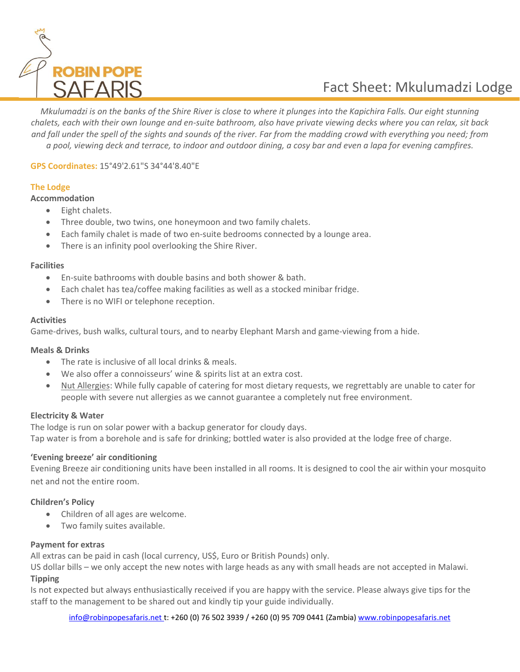

# Fact Sheet: Mkulumadzi Lodge

*Mkulumadzi is on the banks of the Shire River is close to where it plunges into the Kapichira Falls. Our eight stunning chalets, each with their own lounge and en-suite bathroom, also have private viewing decks where you can relax, sit back and fall under the spell of the sights and sounds of the river. Far from the madding crowd with everything you need; from* 

*a pool, viewing deck and terrace, to indoor and outdoor dining, a cosy bar and even a lapa for evening campfires.*

## **GPS Coordinates:** 15°49'2.61"S 34°44'8.40"E

## **The Lodge**

## **Accommodation**

- Eight chalets.
- Three double, two twins, one honeymoon and two family chalets.
- Each family chalet is made of two en-suite bedrooms connected by a lounge area.
- There is an infinity pool overlooking the Shire River.

#### **Facilities**

- En-suite bathrooms with double basins and both shower & bath.
- Each chalet has tea/coffee making facilities as well as a stocked minibar fridge.
- There is no WIFI or telephone reception.

## **Activities**

Game-drives, bush walks, cultural tours, and to nearby Elephant Marsh and game-viewing from a hide.

## **Meals & Drinks**

- The rate is inclusive of all local drinks & meals.
- We also offer a connoisseurs' wine & spirits list at an extra cost.
- Nut Allergies: While fully capable of catering for most dietary requests, we regrettably are unable to cater for people with severe nut allergies as we cannot guarantee a completely nut free environment.

## **Electricity & Water**

The lodge is run on solar power with a backup generator for cloudy days. Tap water is from a borehole and is safe for drinking; bottled water is also provided at the lodge free of charge.

## **'Evening breeze' air conditioning**

Evening Breeze air conditioning units have been installed in all rooms. It is designed to cool the air within your mosquito net and not the entire room.

## **Children's Policy**

- Children of all ages are welcome.
- Two family suites available.

## **Payment for extras**

All extras can be paid in cash (local currency, US\$, Euro or British Pounds) only.

US dollar bills – we only accept the new notes with large heads as any with small heads are not accepted in Malawi. **Tipping**

Is not expected but always enthusiastically received if you are happy with the service. Please always give tips for the staff to the management to be shared out and kindly tip your guide individually.

[info@robinpopesafaris.net](mailto:info@robinpopesafaris.net) t: +260 (0) 76 502 3939 / +260 (0) 95 709 0441 (Zambia) [www.robinpopesafaris.net](http://www.robinpopesafaris.net/)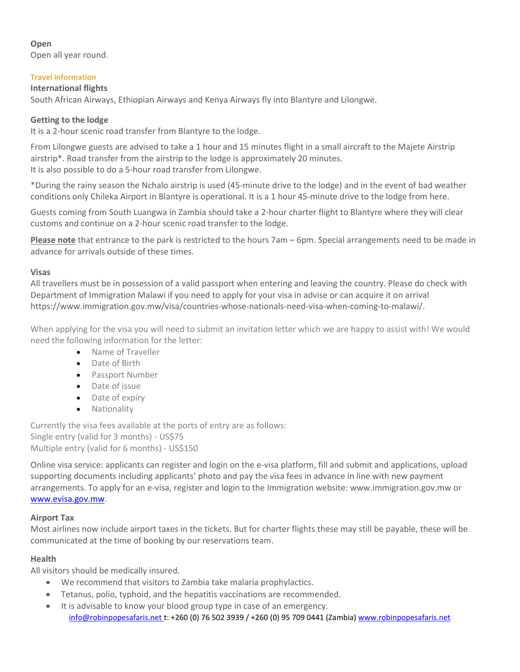## **Open**

Open all year round.

## **Travel information**

## **International flights**

South African Airways, Ethiopian Airways and Kenya Airways fly into Blantyre and Lilongwe.

## **Getting to the lodge**

It is a 2-hour scenic road transfer from Blantyre to the lodge.

From Lilongwe guests are advised to take a 1 hour and 15 minutes flight in a small aircraft to the Majete Airstrip airstrip\*. Road transfer from the airstrip to the lodge is approximately 20 minutes. It is also possible to do a 5-hour road transfer from Lilongwe.

\*During the rainy season the Nchalo airstrip is used (45-minute drive to the lodge) and in the event of bad weather conditions only Chileka Airport in Blantyre is operational. It is a 1 hour 45-minute drive to the lodge from here.

Guests coming from South Luangwa in Zambia should take a 2-hour charter flight to Blantyre where they will clear customs and continue on a 2-hour scenic road transfer to the lodge.

**Please note** that entrance to the park is restricted to the hours 7am – 6pm. Special arrangements need to be made in advance for arrivals outside of these times.

## **Visas**

All travellers must be in possession of a valid passport when entering and leaving the country. Please do check with Department of Immigration Malawi if you need to apply for your visa in advise or can acquire it on arrival https://www.immigration.gov.mw/visa/countries-whose-nationals-need-visa-when-coming-to-malawi/.

When applying for the visa you will need to submit an invitation letter which we are happy to assist with! We would need the following information for the letter:

- Name of Traveller
- Date of Birth
- Passport Number
- Date of issue
- Date of expiry
- Nationality

Currently the visa fees available at the ports of entry are as follows: Single entry (valid for 3 months) - US\$75 Multiple entry (valid for 6 months) - US\$150

Online visa service: applicants can register and login on the e-visa platform, fill and submit and applications, upload supporting documents including applicants' photo and pay the visa fees in advance in line with new payment arrangements. To apply for an e-visa, register and login to the Immigration website: www.immigration.gov.mw or [www.evisa.gov.mw.](http://www.evisa.gov.mw/)

## **Airport Tax**

Most airlines now include airport taxes in the tickets. But for charter flights these may still be payable, these will be communicated at the time of booking by our reservations team.

## **Health**

All visitors should be medically insured.

- We recommend that visitors to Zambia take malaria prophylactics.
- Tetanus, polio, typhoid, and the hepatitis vaccinations are recommended.
- [info@robinpopesafaris.net](mailto:info@robinpopesafaris.net) t: +260 (0) 76 502 3939 / +260 (0) 95 709 0441 (Zambia) [www.robinpopesafaris.net](http://www.robinpopesafaris.net/) • It is advisable to know your blood group type in case of an emergency.